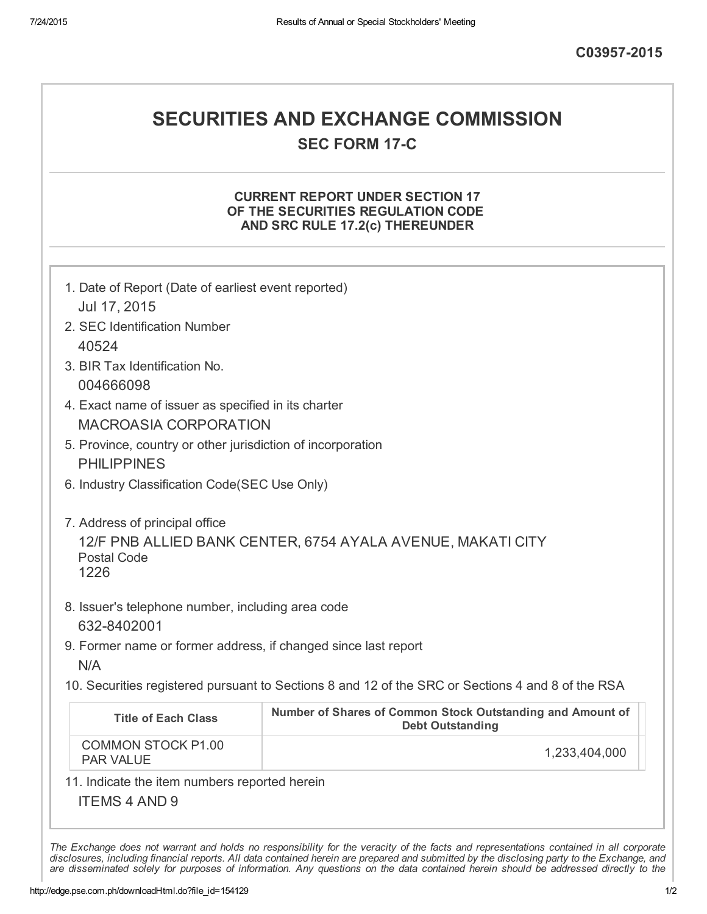## SECURITIES AND EXCHANGE COMMISSION **SEC FORM 17-C**

### CURRENT REPORT UNDER SECTION 17 OF THE SECURITIES REGULATION CODE AND SRC RULE 17.2(c) THEREUNDER

| 1. Date of Report (Date of earliest event reported)<br>Jul 17, 2015                 |                                                                                                   |  |  |
|-------------------------------------------------------------------------------------|---------------------------------------------------------------------------------------------------|--|--|
| 2. SEC Identification Number                                                        |                                                                                                   |  |  |
| 40524                                                                               |                                                                                                   |  |  |
| 3. BIR Tax Identification No.<br>004666098                                          |                                                                                                   |  |  |
| 4. Exact name of issuer as specified in its charter<br><b>MACROASIA CORPORATION</b> |                                                                                                   |  |  |
| 5. Province, country or other jurisdiction of incorporation<br><b>PHILIPPINES</b>   |                                                                                                   |  |  |
| 6. Industry Classification Code(SEC Use Only)                                       |                                                                                                   |  |  |
| <b>Postal Code</b><br>1226<br>8. Issuer's telephone number, including area code     | 12/F PNB ALLIED BANK CENTER, 6754 AYALA AVENUE, MAKATI CITY                                       |  |  |
| 632-8402001                                                                         |                                                                                                   |  |  |
| 9. Former name or former address, if changed since last report<br>N/A               |                                                                                                   |  |  |
|                                                                                     | 10. Securities registered pursuant to Sections 8 and 12 of the SRC or Sections 4 and 8 of the RSA |  |  |
| <b>Title of Each Class</b>                                                          | Number of Shares of Common Stock Outstanding and Amount of<br><b>Debt Outstanding</b>             |  |  |
| <b>COMMON STOCK P1.00</b><br><b>PAR VALUE</b>                                       | 1,233,404,000                                                                                     |  |  |
|                                                                                     |                                                                                                   |  |  |
| 11. Indicate the item numbers reported herein                                       |                                                                                                   |  |  |

disclosures, including financial reports. All data contained herein are prepared and submitted by the disclosing party to the Exchange, and are disseminated solely for purposes of information. Any questions on the data contained herein should be addressed directly to the